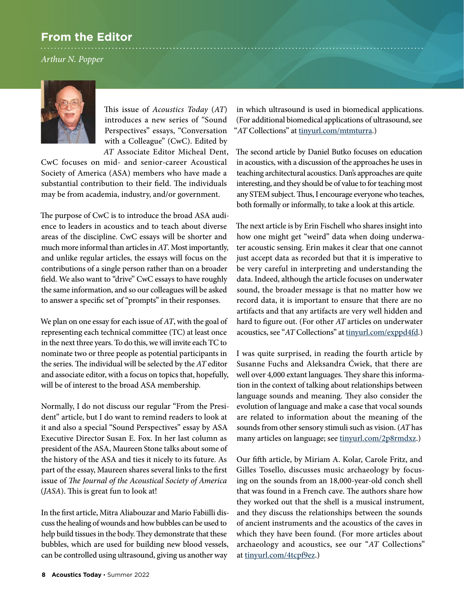## **From the Editor**

*Arthur N. Popper*



This issue of *Acoustics Today* (*AT*) introduces a new series of "Sound Perspectives" essays, "Conversation with a Colleague" (CwC). Edited by *AT* Associate Editor Micheal Dent,

CwC focuses on mid- and senior-career Acoustical Society of America (ASA) members who have made a substantial contribution to their field. The individuals may be from academia, industry, and/or government.

The purpose of CwC is to introduce the broad ASA audience to leaders in acoustics and to teach about diverse areas of the discipline. CwC essays will be shorter and much more informal than articles in *AT*. Most importantly, and unlike regular articles, the essays will focus on the contributions of a single person rather than on a broader field. We also want to "drive" CwC essays to have roughly the same information, and so our colleagues will be asked to answer a specific set of "prompts" in their responses.

We plan on one essay for each issue of *AT*, with the goal of representing each technical committee (TC) at least once in the next three years. To do this, we will invite each TC to nominate two or three people as potential participants in the series. The individual will be selected by the *AT* editor and associate editor, with a focus on topics that, hopefully, will be of interest to the broad ASA membership.

Normally, I do not discuss our regular "From the President" article, but I do want to remind readers to look at it and also a special "Sound Perspectives" essay by ASA Executive Director Susan E. Fox. In her last column as president of the ASA, Maureen Stone talks about some of the history of the ASA and ties it nicely to its future. As part of the essay, Maureen shares several links to the first issue of *The Journal of the Acoustical Society of America* (*JASA*). This is great fun to look at!

In the first article, Mitra Aliabouzar and Mario Fabiilli discuss the healing of wounds and how bubbles can be used to help build tissues in the body. They demonstrate that these bubbles, which are used for building new blood vessels, can be controlled using ultrasound, giving us another way

in which ultrasound is used in biomedical applications. (For additional biomedical applications of ultrasound, see "*AT* Collections" at [tinyurl.com/mtmturra](http://tinyurl.com/mtmturra).)

The second article by Daniel Butko focuses on education in acoustics, with a discussion of the approaches he uses in teaching architectural acoustics. Dan's approaches are quite interesting, and they should be of value to for teaching most any STEM subject. Thus, I encourage everyone who teaches, both formally or informally, to take a look at this article.

The next article is by Erin Fischell who shares insight into how one might get "weird" data when doing underwater acoustic sensing. Erin makes it clear that one cannot just accept data as recorded but that it is imperative to be very careful in interpreting and understanding the data. Indeed, although the article focuses on underwater sound, the broader message is that no matter how we record data, it is important to ensure that there are no artifacts and that any artifacts are very well hidden and hard to figure out. (For other *AT* articles on underwater acoustics, see "*AT* Collections" at [tinyurl.com/exppd4fd.](http://tinyurl.com/exppd4fd))

I was quite surprised, in reading the fourth article by Susanne Fuchs and Aleksandra Ćwiek, that there are well over 4,000 extant languages. They share this information in the context of talking about relationships between language sounds and meaning. They also consider the evolution of language and make a case that vocal sounds are related to information about the meaning of the sounds from other sensory stimuli such as vision. (*AT* has many articles on language; see [tinyurl.com/2p8rmdxz](http://tinyurl.com/2p8rmdxz).)

Our fifth article, by Miriam A. Kolar, Carole Fritz, and Gilles Tosello, discusses music archaeology by focusing on the sounds from an 18,000-year-old conch shell that was found in a French cave. The authors share how they worked out that the shell is a musical instrument, and they discuss the relationships between the sounds of ancient instruments and the acoustics of the caves in which they have been found. (For more articles about archaeology and acoustics, see our "*AT* Collections" at [tinyurl.com/4tcpf9ez.](http://tinyurl.com/4tcpf9ez))